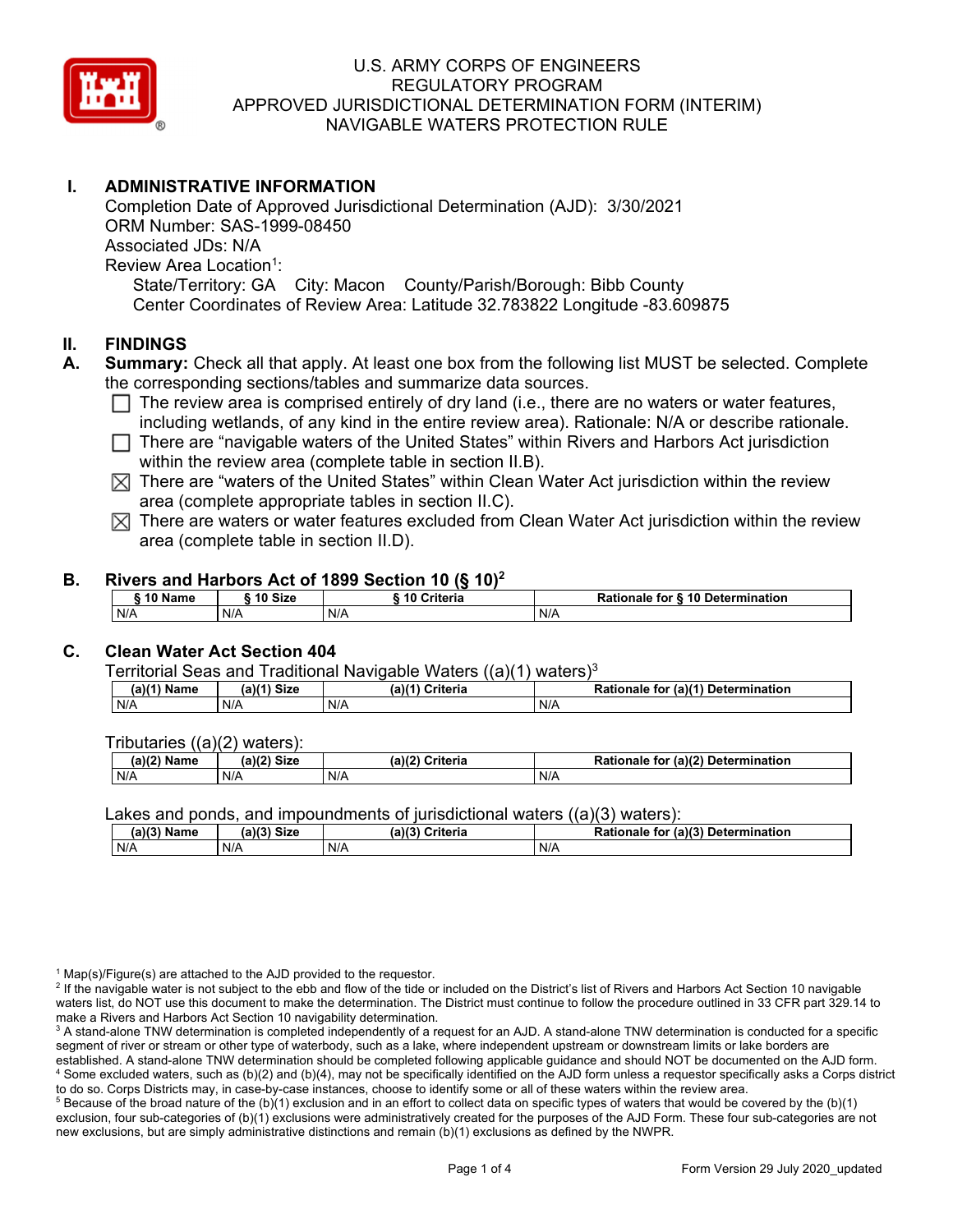

### **I. ADMINISTRATIVE INFORMATION**

Completion Date of Approved Jurisdictional Determination (AJD): 3/30/2021 ORM Number: SAS-1999-08450 Associated JDs: N/A Review Area Location<sup>1</sup>: State/Territory: GA City: Macon County/Parish/Borough: Bibb County Center Coordinates of Review Area: Latitude 32.783822 Longitude -83.609875

### **II. FINDINGS**

- **A. Summary:** Check all that apply. At least one box from the following list MUST be selected. Complete the corresponding sections/tables and summarize data sources.
	- $\Box$  The review area is comprised entirely of dry land (i.e., there are no waters or water features, including wetlands, of any kind in the entire review area). Rationale: N/A or describe rationale.
	- $\Box$  There are "navigable waters of the United States" within Rivers and Harbors Act jurisdiction within the review area (complete table in section II.B).
	- $\boxtimes$  There are "waters of the United States" within Clean Water Act jurisdiction within the review area (complete appropriate tables in section II.C).
	- $\boxtimes$  There are waters or water features excluded from Clean Water Act jurisdiction within the review area (complete table in section II.D).

#### **B. Rivers and Harbors Act of 1899 Section 10 (§ 10)2**

| <sup>→</sup> 10 Name | ` 10 Size | ---<br>Criteria | Rationale for § 10 Determination |
|----------------------|-----------|-----------------|----------------------------------|
| N/A                  | N/A       | N/A             | N/A                              |

### **C. Clean Water Act Section 404**

#### Territorial Seas and Traditional Navigable Waters ((a)(1) waters)3

| Name | <b>Size</b><br>(a)( <sup>2</sup> | (a)<br>Criteria | ∵ a)/^ ار<br>Determ<br>ıination<br>tor<br>tionale |
|------|----------------------------------|-----------------|---------------------------------------------------|
| N/A  | N/A                              | .<br>N/F        | N/A                                               |

#### Tributaries ((a)(2) waters):

| (2)(2)<br>Name | (A)/2<br><b>Size</b> | $(a)$ $(2)$<br>ेriteria | $\pi$ (a)(2)<br>Determination<br>tor<br>nale |
|----------------|----------------------|-------------------------|----------------------------------------------|
| N/A            | N/A                  | N/A                     | N/A                                          |

Lakes and ponds, and impoundments of jurisdictional waters  $((a)(3)$  waters):

| $(a)(3)$ M<br>Name | <b>Size</b><br>$-112$ | -1191<br>Criteria | (a)(3) Determination<br>for<br>Rationale |
|--------------------|-----------------------|-------------------|------------------------------------------|
| N/A                | N/A                   | N/A               | N/A                                      |

 $^1$  Map(s)/Figure(s) are attached to the AJD provided to the requestor.<br><sup>2</sup> If the navigable water is not subject to the ebb and flow of the tide or

<sup>2</sup> If the navigable water is not subject to the ebb and flow of the tide or included on the District's list of Rivers and Harbors Act Section 10 navigable waters list, do NOT use this document to make the determination. The District must continue to follow the procedure outlined in 33 CFR part 329.14 to make a Rivers and Harbors Act Section 10 navigability determination.

to do so. Corps Districts may, in case-by-case instances, choose to identify some or all of these waters within the review area. 5 <sup>5</sup> Because of the broad nature of the (b)(1) exclusion and in an effort to collect data on specific types of waters that would be covered by the (b)(1) exclusion, four sub-categories of (b)(1) exclusions were administratively created for the purposes of the AJD Form. These four sub-categories are not new exclusions, but are simply administrative distinctions and remain (b)(1) exclusions as defined by the NWPR.

 $^3$  A stand-alone TNW determination is completed independently of a request for an AJD. A stand-alone TNW determination is conducted for a specific segment of river or stream or other type of waterbody, such as a lake, where independent upstream or downstream limits or lake borders are established. A stand-alone TNW determination should be completed following applicable guidance and should NOT be documented on the AJD form. 4 Some excluded waters, such as (b)(2) and (b)(4), may not be specifically identified on the AJD form unless a requestor specifically asks a Corps district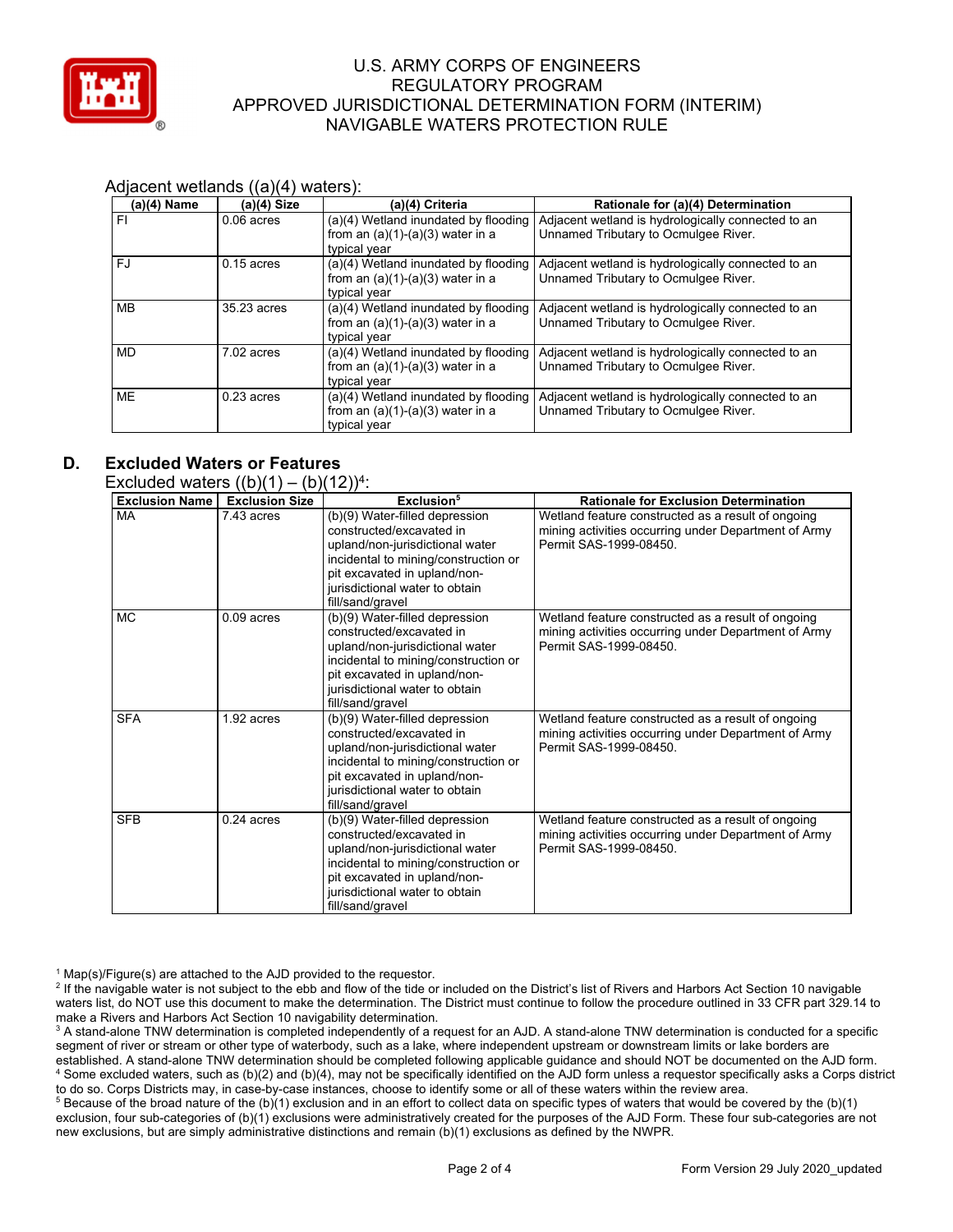

#### Adjacent wetlands ((a)(4) waters):

| $(a)(4)$ Name | $(a)(4)$ Size | (a)(4) Criteria                                                                            | Rationale for (a)(4) Determination                                                         |
|---------------|---------------|--------------------------------------------------------------------------------------------|--------------------------------------------------------------------------------------------|
| FI            | $0.06$ acres  | (a)(4) Wetland inundated by flooding<br>from an $(a)(1)-(a)(3)$ water in a<br>typical year | Adjacent wetland is hydrologically connected to an<br>Unnamed Tributary to Ocmulgee River. |
| <b>FJ</b>     | $0.15$ acres  | (a)(4) Wetland inundated by flooding<br>from an $(a)(1)-(a)(3)$ water in a<br>typical year | Adjacent wetland is hydrologically connected to an<br>Unnamed Tributary to Ocmulgee River. |
| <b>MB</b>     | 35.23 acres   | (a)(4) Wetland inundated by flooding<br>from an $(a)(1)-(a)(3)$ water in a<br>typical year | Adjacent wetland is hydrologically connected to an<br>Unnamed Tributary to Ocmulgee River. |
| <b>MD</b>     | 7.02 acres    | (a)(4) Wetland inundated by flooding<br>from an $(a)(1)-(a)(3)$ water in a<br>typical year | Adjacent wetland is hydrologically connected to an<br>Unnamed Tributary to Ocmulgee River. |
| <b>ME</b>     | $0.23$ acres  | (a)(4) Wetland inundated by flooding<br>from an $(a)(1)-(a)(3)$ water in a<br>typical year | Adjacent wetland is hydrologically connected to an<br>Unnamed Tributary to Ocmulgee River. |

### **D. Excluded Waters or Features**

| <b>Exclusion Name</b> | <b>Exclusion Size</b> | Exclusion <sup>5</sup>                                                                                                                                                                                                      | <b>Rationale for Exclusion Determination</b>                                                                                         |
|-----------------------|-----------------------|-----------------------------------------------------------------------------------------------------------------------------------------------------------------------------------------------------------------------------|--------------------------------------------------------------------------------------------------------------------------------------|
| MA                    | 7.43 acres            | (b)(9) Water-filled depression<br>constructed/excavated in<br>upland/non-jurisdictional water<br>incidental to mining/construction or<br>pit excavated in upland/non-<br>jurisdictional water to obtain<br>fill/sand/gravel | Wetland feature constructed as a result of ongoing<br>mining activities occurring under Department of Army<br>Permit SAS-1999-08450  |
| <b>MC</b>             | $0.09$ acres          | (b)(9) Water-filled depression<br>constructed/excavated in<br>upland/non-jurisdictional water<br>incidental to mining/construction or<br>pit excavated in upland/non-<br>jurisdictional water to obtain<br>fill/sand/gravel | Wetland feature constructed as a result of ongoing<br>mining activities occurring under Department of Army<br>Permit SAS-1999-08450. |
| <b>SFA</b>            | 1.92 acres            | (b)(9) Water-filled depression<br>constructed/excavated in<br>upland/non-jurisdictional water<br>incidental to mining/construction or<br>pit excavated in upland/non-<br>jurisdictional water to obtain<br>fill/sand/gravel | Wetland feature constructed as a result of ongoing<br>mining activities occurring under Department of Army<br>Permit SAS-1999-08450  |
| <b>SFB</b>            | $0.24$ acres          | (b)(9) Water-filled depression<br>constructed/excavated in<br>upland/non-jurisdictional water<br>incidental to mining/construction or<br>pit excavated in upland/non-<br>jurisdictional water to obtain<br>fill/sand/gravel | Wetland feature constructed as a result of ongoing<br>mining activities occurring under Department of Army<br>Permit SAS-1999-08450. |

 $^1$  Map(s)/Figure(s) are attached to the AJD provided to the requestor.<br><sup>2</sup> If the navigable water is not subject to the ebb and flow of the tide or

<sup>2</sup> If the navigable water is not subject to the ebb and flow of the tide or included on the District's list of Rivers and Harbors Act Section 10 navigable waters list, do NOT use this document to make the determination. The District must continue to follow the procedure outlined in 33 CFR part 329.14 to make a Rivers and Harbors Act Section 10 navigability determination.

 $^3$  A stand-alone TNW determination is completed independently of a request for an AJD. A stand-alone TNW determination is conducted for a specific segment of river or stream or other type of waterbody, such as a lake, where independent upstream or downstream limits or lake borders are established. A stand-alone TNW determination should be completed following applicable guidance and should NOT be documented on the AJD form. 4 Some excluded waters, such as (b)(2) and (b)(4), may not be specifically identified on the AJD form unless a requestor specifically asks a Corps district

to do so. Corps Districts may, in case-by-case instances, choose to identify some or all of these waters within the review area.<br><sup>5</sup> Because of the broad nature of the (b)(1) exclusion and in an effort to collect data on s exclusion, four sub-categories of (b)(1) exclusions were administratively created for the purposes of the AJD Form. These four sub-categories are not new exclusions, but are simply administrative distinctions and remain (b)(1) exclusions as defined by the NWPR.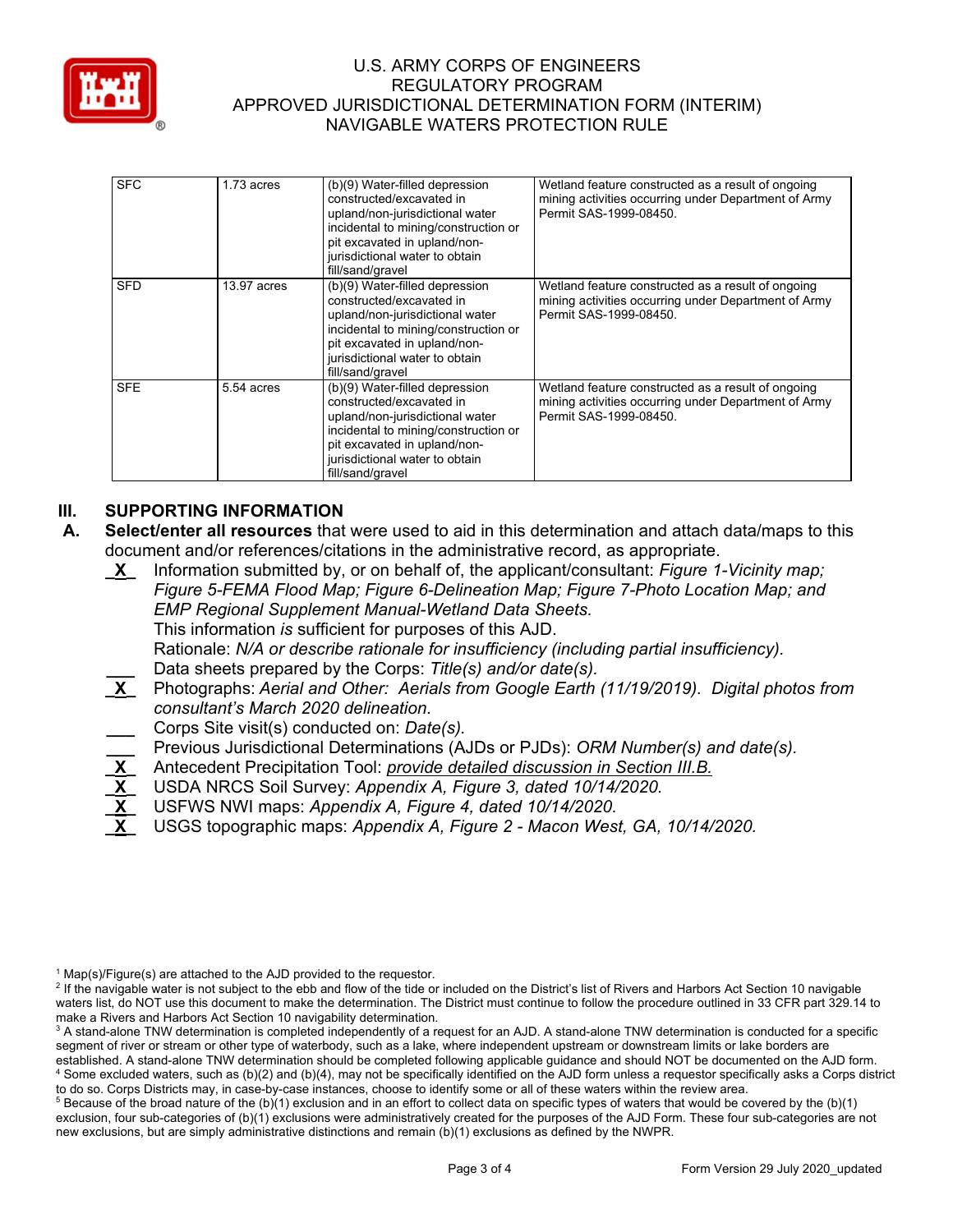

| <b>SFC</b> | $1.73$ acres | (b)(9) Water-filled depression<br>constructed/excavated in<br>upland/non-jurisdictional water<br>incidental to mining/construction or<br>pit excavated in upland/non-<br>jurisdictional water to obtain<br>fill/sand/gravel | Wetland feature constructed as a result of ongoing<br>mining activities occurring under Department of Army<br>Permit SAS-1999-08450. |
|------------|--------------|-----------------------------------------------------------------------------------------------------------------------------------------------------------------------------------------------------------------------------|--------------------------------------------------------------------------------------------------------------------------------------|
| <b>SFD</b> | 13.97 acres  | (b)(9) Water-filled depression<br>constructed/excavated in<br>upland/non-jurisdictional water<br>incidental to mining/construction or<br>pit excavated in upland/non-<br>jurisdictional water to obtain<br>fill/sand/gravel | Wetland feature constructed as a result of ongoing<br>mining activities occurring under Department of Army<br>Permit SAS-1999-08450. |
| <b>SFE</b> | 5.54 acres   | (b)(9) Water-filled depression<br>constructed/excavated in<br>upland/non-jurisdictional water<br>incidental to mining/construction or<br>pit excavated in upland/non-<br>jurisdictional water to obtain<br>fill/sand/gravel | Wetland feature constructed as a result of ongoing<br>mining activities occurring under Department of Army<br>Permit SAS-1999-08450. |

# **III. SUPPORTING INFORMATION**

- **A. Select/enter all resources** that were used to aid in this determination and attach data/maps to this document and/or references/citations in the administrative record, as appropriate.
	- **\_X\_** Information submitted by, or on behalf of, the applicant/consultant: *Figure 1-Vicinity map; Figure 5-FEMA Flood Map; Figure 6-Delineation Map; Figure 7-Photo Location Map; and EMP Regional Supplement Manual-Wetland Data Sheets.*  This information *is* sufficient for purposes of this AJD. Rationale: *N/A or describe rationale for insufficiency (including partial insufficiency).*  **\_\_\_** Data sheets prepared by the Corps: *Title(s) and/or date(s).*  **\_X\_** Photographs: *Aerial and Other: Aerials from Google Earth (11/19/2019). Digital photos from consultant's March 2020 delineation.*  **\_\_\_** Corps Site visit(s) conducted on: *Date(s).*  **\_\_\_** Previous Jurisdictional Determinations (AJDs or PJDs): *ORM Number(s) and date(s).*  **\_X\_** Antecedent Precipitation Tool: *provide detailed discussion in Section III.B.*  **\_X\_** USDA NRCS Soil Survey: *Appendix A, Figure 3, dated 10/14/2020.*
	- **\_X\_** USFWS NWI maps: *Appendix A, Figure 4, dated 10/14/2020.*
	- **\_X\_** USGS topographic maps: *Appendix A, Figure 2 Macon West, GA, 10/14/2020.*

 $^1$  Map(s)/Figure(s) are attached to the AJD provided to the requestor.<br><sup>2</sup> If the navigable water is not subject to the ebb and flow of the tide or

<sup>&</sup>lt;sup>2</sup> If the navigable water is not subject to the ebb and flow of the tide or included on the District's list of Rivers and Harbors Act Section 10 navigable waters list, do NOT use this document to make the determination. The District must continue to follow the procedure outlined in 33 CFR part 329.14 to make a Rivers and Harbors Act Section 10 navigability determination.

 $^3$  A stand-alone TNW determination is completed independently of a request for an AJD. A stand-alone TNW determination is conducted for a specific segment of river or stream or other type of waterbody, such as a lake, where independent upstream or downstream limits or lake borders are established. A stand-alone TNW determination should be completed following applicable guidance and should NOT be documented on the AJD form. 4 Some excluded waters, such as (b)(2) and (b)(4), may not be specifically identified on the AJD form unless a requestor specifically asks a Corps district

to do so. Corps Districts may, in case-by-case instances, choose to identify some or all of these waters within the review area. 5  $5$  Because of the broad nature of the (b)(1) exclusion and in an effort to collect data on specific types of waters that would be covered by the (b)(1) exclusion, four sub-categories of (b)(1) exclusions were administratively created for the purposes of the AJD Form. These four sub-categories are not new exclusions, but are simply administrative distinctions and remain (b)(1) exclusions as defined by the NWPR.